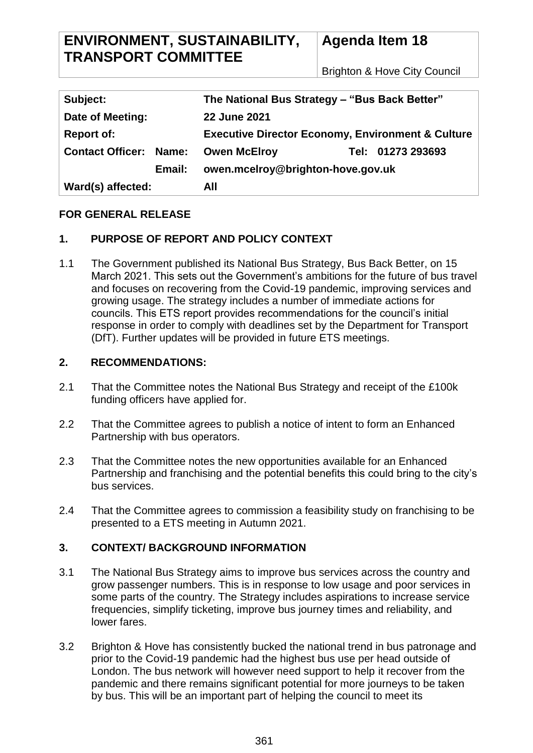# **ENVIRONMENT, SUSTAINABILITY, TRANSPORT COMMITTEE**

**Agenda Item 18**

Brighton & Hove City Council

| Subject:                      | The National Bus Strategy - "Bus Back Better"                |
|-------------------------------|--------------------------------------------------------------|
| Date of Meeting:              | <b>22 June 2021</b>                                          |
| <b>Report of:</b>             | <b>Executive Director Economy, Environment &amp; Culture</b> |
| <b>Contact Officer: Name:</b> | Tel: 01273 293693<br><b>Owen McElroy</b>                     |
| Email:                        | owen.mcelroy@brighton-hove.gov.uk                            |
| Ward(s) affected:             | All                                                          |

## **FOR GENERAL RELEASE**

## **1. PURPOSE OF REPORT AND POLICY CONTEXT**

1.1 The Government published its National Bus Strategy, Bus Back Better, on 15 March 2021. This sets out the Government's ambitions for the future of bus travel and focuses on recovering from the Covid-19 pandemic, improving services and growing usage. The strategy includes a number of immediate actions for councils. This ETS report provides recommendations for the council's initial response in order to comply with deadlines set by the Department for Transport (DfT). Further updates will be provided in future ETS meetings.

## **2. RECOMMENDATIONS:**

- 2.1 That the Committee notes the National Bus Strategy and receipt of the £100k funding officers have applied for.
- 2.2 That the Committee agrees to publish a notice of intent to form an Enhanced Partnership with bus operators.
- 2.3 That the Committee notes the new opportunities available for an Enhanced Partnership and franchising and the potential benefits this could bring to the city's bus services.
- 2.4 That the Committee agrees to commission a feasibility study on franchising to be presented to a ETS meeting in Autumn 2021.

## **3. CONTEXT/ BACKGROUND INFORMATION**

- 3.1 The National Bus Strategy aims to improve bus services across the country and grow passenger numbers. This is in response to low usage and poor services in some parts of the country. The Strategy includes aspirations to increase service frequencies, simplify ticketing, improve bus journey times and reliability, and lower fares.
- 3.2 Brighton & Hove has consistently bucked the national trend in bus patronage and prior to the Covid-19 pandemic had the highest bus use per head outside of London. The bus network will however need support to help it recover from the pandemic and there remains significant potential for more journeys to be taken by bus. This will be an important part of helping the council to meet its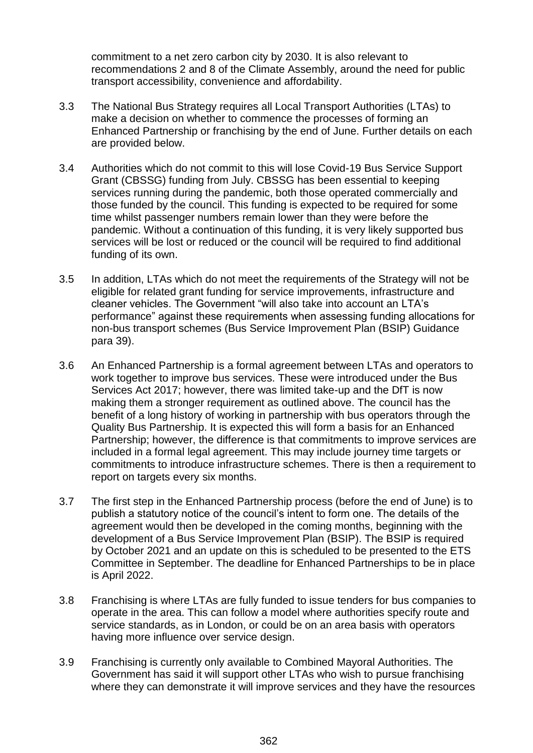commitment to a net zero carbon city by 2030. It is also relevant to recommendations 2 and 8 of the Climate Assembly, around the need for public transport accessibility, convenience and affordability.

- 3.3 The National Bus Strategy requires all Local Transport Authorities (LTAs) to make a decision on whether to commence the processes of forming an Enhanced Partnership or franchising by the end of June. Further details on each are provided below.
- 3.4 Authorities which do not commit to this will lose Covid-19 Bus Service Support Grant (CBSSG) funding from July. CBSSG has been essential to keeping services running during the pandemic, both those operated commercially and those funded by the council. This funding is expected to be required for some time whilst passenger numbers remain lower than they were before the pandemic. Without a continuation of this funding, it is very likely supported bus services will be lost or reduced or the council will be required to find additional funding of its own.
- 3.5 In addition, LTAs which do not meet the requirements of the Strategy will not be eligible for related grant funding for service improvements, infrastructure and cleaner vehicles. The Government "will also take into account an LTA's performance" against these requirements when assessing funding allocations for non-bus transport schemes (Bus Service Improvement Plan (BSIP) Guidance para 39).
- 3.6 An Enhanced Partnership is a formal agreement between LTAs and operators to work together to improve bus services. These were introduced under the Bus Services Act 2017; however, there was limited take-up and the DfT is now making them a stronger requirement as outlined above. The council has the benefit of a long history of working in partnership with bus operators through the Quality Bus Partnership. It is expected this will form a basis for an Enhanced Partnership; however, the difference is that commitments to improve services are included in a formal legal agreement. This may include journey time targets or commitments to introduce infrastructure schemes. There is then a requirement to report on targets every six months.
- 3.7 The first step in the Enhanced Partnership process (before the end of June) is to publish a statutory notice of the council's intent to form one. The details of the agreement would then be developed in the coming months, beginning with the development of a Bus Service Improvement Plan (BSIP). The BSIP is required by October 2021 and an update on this is scheduled to be presented to the ETS Committee in September. The deadline for Enhanced Partnerships to be in place is April 2022.
- 3.8 Franchising is where LTAs are fully funded to issue tenders for bus companies to operate in the area. This can follow a model where authorities specify route and service standards, as in London, or could be on an area basis with operators having more influence over service design.
- 3.9 Franchising is currently only available to Combined Mayoral Authorities. The Government has said it will support other LTAs who wish to pursue franchising where they can demonstrate it will improve services and they have the resources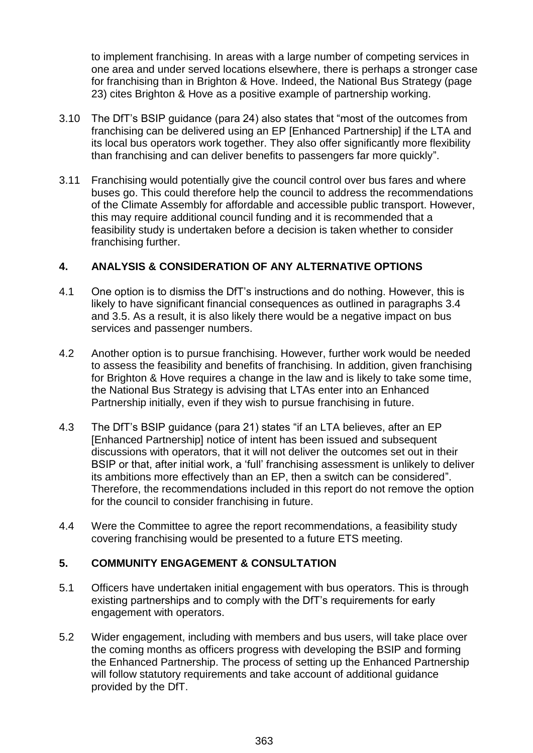to implement franchising. In areas with a large number of competing services in one area and under served locations elsewhere, there is perhaps a stronger case for franchising than in Brighton & Hove. Indeed, the National Bus Strategy (page 23) cites Brighton & Hove as a positive example of partnership working.

- 3.10 The DfT's BSIP guidance (para 24) also states that "most of the outcomes from franchising can be delivered using an EP [Enhanced Partnership] if the LTA and its local bus operators work together. They also offer significantly more flexibility than franchising and can deliver benefits to passengers far more quickly".
- 3.11 Franchising would potentially give the council control over bus fares and where buses go. This could therefore help the council to address the recommendations of the Climate Assembly for affordable and accessible public transport. However, this may require additional council funding and it is recommended that a feasibility study is undertaken before a decision is taken whether to consider franchising further.

# **4. ANALYSIS & CONSIDERATION OF ANY ALTERNATIVE OPTIONS**

- 4.1 One option is to dismiss the DfT's instructions and do nothing. However, this is likely to have significant financial consequences as outlined in paragraphs 3.4 and 3.5. As a result, it is also likely there would be a negative impact on bus services and passenger numbers.
- 4.2 Another option is to pursue franchising. However, further work would be needed to assess the feasibility and benefits of franchising. In addition, given franchising for Brighton & Hove requires a change in the law and is likely to take some time, the National Bus Strategy is advising that LTAs enter into an Enhanced Partnership initially, even if they wish to pursue franchising in future.
- 4.3 The DfT's BSIP guidance (para 21) states "if an LTA believes, after an EP [Enhanced Partnership] notice of intent has been issued and subsequent discussions with operators, that it will not deliver the outcomes set out in their BSIP or that, after initial work, a 'full' franchising assessment is unlikely to deliver its ambitions more effectively than an EP, then a switch can be considered". Therefore, the recommendations included in this report do not remove the option for the council to consider franchising in future.
- 4.4 Were the Committee to agree the report recommendations, a feasibility study covering franchising would be presented to a future ETS meeting.

## **5. COMMUNITY ENGAGEMENT & CONSULTATION**

- 5.1 Officers have undertaken initial engagement with bus operators. This is through existing partnerships and to comply with the DfT's requirements for early engagement with operators.
- 5.2 Wider engagement, including with members and bus users, will take place over the coming months as officers progress with developing the BSIP and forming the Enhanced Partnership. The process of setting up the Enhanced Partnership will follow statutory requirements and take account of additional quidance provided by the DfT.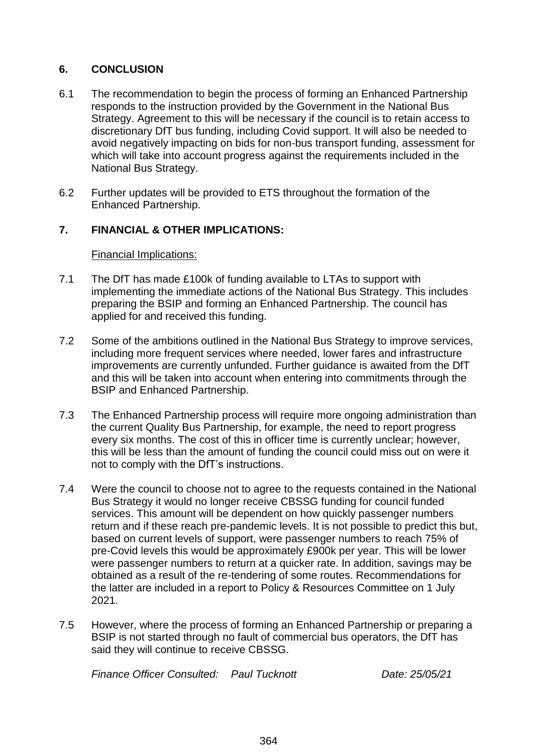## **6. CONCLUSION**

- 6.1 The recommendation to begin the process of forming an Enhanced Partnership responds to the instruction provided by the Government in the National Bus Strategy. Agreement to this will be necessary if the council is to retain access to discretionary DfT bus funding, including Covid support. It will also be needed to avoid negatively impacting on bids for non-bus transport funding, assessment for which will take into account progress against the requirements included in the National Bus Strategy.
- 6.2 Further updates will be provided to ETS throughout the formation of the Enhanced Partnership.

## **7. FINANCIAL & OTHER IMPLICATIONS:**

#### Financial Implications:

- 7.1 The DfT has made £100k of funding available to LTAs to support with implementing the immediate actions of the National Bus Strategy. This includes preparing the BSIP and forming an Enhanced Partnership. The council has applied for and received this funding.
- 7.2 Some of the ambitions outlined in the National Bus Strategy to improve services, including more frequent services where needed, lower fares and infrastructure improvements are currently unfunded. Further guidance is awaited from the DfT and this will be taken into account when entering into commitments through the BSIP and Enhanced Partnership.
- 7.3 The Enhanced Partnership process will require more ongoing administration than the current Quality Bus Partnership, for example, the need to report progress every six months. The cost of this in officer time is currently unclear; however, this will be less than the amount of funding the council could miss out on were it not to comply with the DfT's instructions.
- 7.4 Were the council to choose not to agree to the requests contained in the National Bus Strategy it would no longer receive CBSSG funding for council funded services. This amount will be dependent on how quickly passenger numbers return and if these reach pre-pandemic levels. It is not possible to predict this but, based on current levels of support, were passenger numbers to reach 75% of pre-Covid levels this would be approximately £900k per year. This will be lower were passenger numbers to return at a quicker rate. In addition, savings may be obtained as a result of the re-tendering of some routes. Recommendations for the latter are included in a report to Policy & Resources Committee on 1 July 2021.
- 7.5 However, where the process of forming an Enhanced Partnership or preparing a BSIP is not started through no fault of commercial bus operators, the DfT has said they will continue to receive CBSSG.

*Finance Officer Consulted: Paul Tucknott Date: 25/05/21*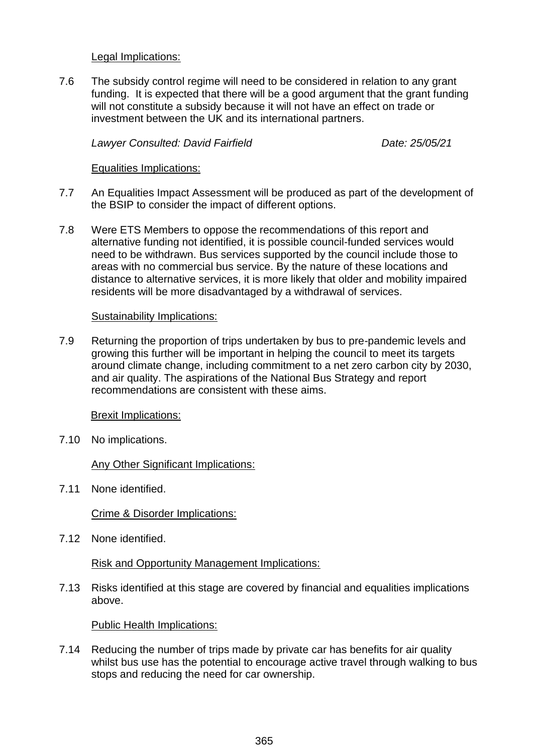Legal Implications:

7.6 The subsidy control regime will need to be considered in relation to any grant funding. It is expected that there will be a good argument that the grant funding will not constitute a subsidy because it will not have an effect on trade or investment between the UK and its international partners.

*Lawyer Consulted: David Fairfield Date: 25/05/21*

#### Equalities Implications:

- 7.7 An Equalities Impact Assessment will be produced as part of the development of the BSIP to consider the impact of different options.
- 7.8 Were ETS Members to oppose the recommendations of this report and alternative funding not identified, it is possible council-funded services would need to be withdrawn. Bus services supported by the council include those to areas with no commercial bus service. By the nature of these locations and distance to alternative services, it is more likely that older and mobility impaired residents will be more disadvantaged by a withdrawal of services.

#### Sustainability Implications:

7.9 Returning the proportion of trips undertaken by bus to pre-pandemic levels and growing this further will be important in helping the council to meet its targets around climate change, including commitment to a net zero carbon city by 2030, and air quality. The aspirations of the National Bus Strategy and report recommendations are consistent with these aims.

#### Brexit Implications:

7.10 No implications.

#### Any Other Significant Implications:

7.11 None identified.

Crime & Disorder Implications:

7.12 None identified.

Risk and Opportunity Management Implications:

7.13 Risks identified at this stage are covered by financial and equalities implications above.

Public Health Implications:

7.14 Reducing the number of trips made by private car has benefits for air quality whilst bus use has the potential to encourage active travel through walking to bus stops and reducing the need for car ownership.